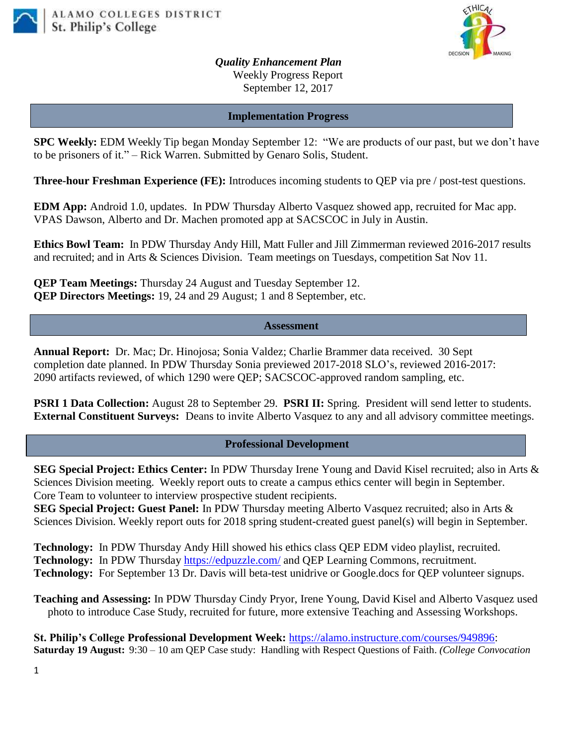



*Quality Enhancement Plan* Weekly Progress Report September 12, 2017

## **Implementation Progress**

**SPC Weekly:** EDM Weekly Tip began Monday September 12: "We are products of our past, but we don't have to be prisoners of it." – Rick Warren. Submitted by Genaro Solis, Student.

**Three-hour Freshman Experience (FE):** Introduces incoming students to QEP via pre / post-test questions.

**EDM App:** Android 1.0, updates. In PDW Thursday Alberto Vasquez showed app, recruited for Mac app. VPAS Dawson, Alberto and Dr. Machen promoted app at SACSCOC in July in Austin.

**Ethics Bowl Team:** In PDW Thursday Andy Hill, Matt Fuller and Jill Zimmerman reviewed 2016-2017 results and recruited; and in Arts & Sciences Division. Team meetings on Tuesdays, competition Sat Nov 11.

**QEP Team Meetings:** Thursday 24 August and Tuesday September 12. **QEP Directors Meetings:** 19, 24 and 29 August; 1 and 8 September, etc.

## **Assessment**

**Annual Report:** Dr. Mac; Dr. Hinojosa; Sonia Valdez; Charlie Brammer data received. 30 Sept completion date planned. In PDW Thursday Sonia previewed 2017-2018 SLO's, reviewed 2016-2017: 2090 artifacts reviewed, of which 1290 were QEP; SACSCOC-approved random sampling, etc.

**PSRI 1 Data Collection:** August 28 to September 29. **PSRI II:** Spring. President will send letter to students. **External Constituent Surveys:** Deans to invite Alberto Vasquez to any and all advisory committee meetings.

## **Professional Development**

**SEG Special Project: Ethics Center:** In PDW Thursday Irene Young and David Kisel recruited; also in Arts & Sciences Division meeting. Weekly report outs to create a campus ethics center will begin in September. Core Team to volunteer to interview prospective student recipients.

**SEG Special Project: Guest Panel:** In PDW Thursday meeting Alberto Vasquez recruited; also in Arts & Sciences Division. Weekly report outs for 2018 spring student-created guest panel(s) will begin in September.

**Technology:** In PDW Thursday Andy Hill showed his ethics class QEP EDM video playlist, recruited. **Technology:** In PDW Thursday <https://edpuzzle.com/> and QEP Learning Commons, recruitment. **Technology:** For September 13 Dr. Davis will beta-test unidrive or Google.docs for QEP volunteer signups.

**Teaching and Assessing:** In PDW Thursday Cindy Pryor, Irene Young, David Kisel and Alberto Vasquez used photo to introduce Case Study, recruited for future, more extensive Teaching and Assessing Workshops.

**St. Philip's College Professional Development Week:** [https://alamo.instructure.com/courses/949896:](https://alamo.instructure.com/courses/949896) **Saturday 19 August:** 9:30 – 10 am QEP Case study: Handling with Respect Questions of Faith. *(College Convocation*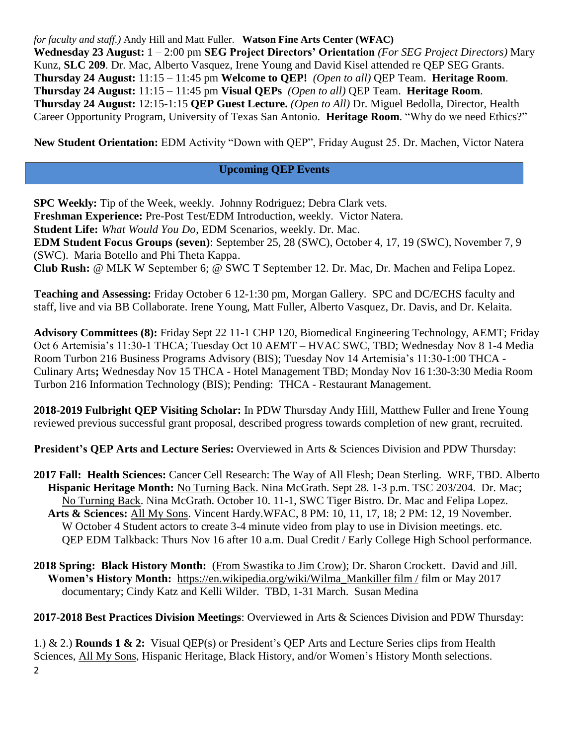*for faculty and staff.)* Andy Hill and Matt Fuller. **Watson Fine Arts Center (WFAC) Wednesday 23 August:** 1 – 2:00 pm **SEG Project Directors' Orientation** *(For SEG Project Directors)* Mary Kunz, **SLC 209**. Dr. Mac, Alberto Vasquez, Irene Young and David Kisel attended re QEP SEG Grants. **Thursday 24 August:** 11:15 – 11:45 pm **Welcome to QEP!** *(Open to all)* QEP Team. **Heritage Room**. **Thursday 24 August:** 11:15 – 11:45 pm **Visual QEPs** *(Open to all)* QEP Team. **Heritage Room**. **Thursday 24 August:** 12:15-1:15 **QEP Guest Lecture.** *(Open to All)* Dr. Miguel Bedolla, Director, Health Career Opportunity Program, University of Texas San Antonio. **Heritage Room**. "Why do we need Ethics?"

**New Student Orientation:** EDM Activity "Down with QEP", Friday August 25. Dr. Machen, Victor Natera

## **Upcoming QEP Events**

**SPC Weekly:** Tip of the Week, weekly. Johnny Rodriguez; Debra Clark vets. **Freshman Experience:** Pre-Post Test/EDM Introduction, weekly. Victor Natera. **Student Life:** *What Would You Do*, EDM Scenarios, weekly. Dr. Mac. **EDM Student Focus Groups (seven)**: September 25, 28 (SWC), October 4, 17, 19 (SWC), November 7, 9 (SWC). Maria Botello and Phi Theta Kappa. **Club Rush:** @ MLK W September 6; @ SWC T September 12. Dr. Mac, Dr. Machen and Felipa Lopez.

**Teaching and Assessing:** Friday October 6 12-1:30 pm, Morgan Gallery. SPC and DC/ECHS faculty and staff, live and via BB Collaborate. Irene Young, Matt Fuller, Alberto Vasquez, Dr. Davis, and Dr. Kelaita.

**Advisory Committees (8):** Friday Sept 22 11-1 CHP 120, Biomedical Engineering Technology, AEMT; Friday Oct 6 Artemisia's 11:30-1 THCA; Tuesday Oct 10 AEMT – HVAC SWC, TBD; Wednesday Nov 8 1-4 Media Room Turbon 216 Business Programs Advisory (BIS); Tuesday Nov 14 Artemisia's 11:30-1:00 THCA - Culinary Arts**;** Wednesday Nov 15 THCA - Hotel Management TBD; Monday Nov 16 1:30-3:30 Media Room Turbon 216 Information Technology (BIS); Pending: THCA - Restaurant Management.

**2018-2019 Fulbright QEP Visiting Scholar:** In PDW Thursday Andy Hill, Matthew Fuller and Irene Young reviewed previous successful grant proposal, described progress towards completion of new grant, recruited.

**President's QEP Arts and Lecture Series:** Overviewed in Arts & Sciences Division and PDW Thursday:

- **2017 Fall: Health Sciences:** Cancer Cell Research: The Way of All Flesh; Dean Sterling. WRF, TBD. Alberto **Hispanic Heritage Month:** No Turning Back. Nina McGrath. Sept 28. 1-3 p.m. TSC 203/204. Dr. Mac; No Turning Back. Nina McGrath. October 10. 11-1, SWC Tiger Bistro. Dr. Mac and Felipa Lopez. **Arts & Sciences:** All My Sons. Vincent Hardy.WFAC, 8 PM: 10, 11, 17, 18; 2 PM: 12, 19 November. W October 4 Student actors to create 3-4 minute video from play to use in Division meetings. etc. QEP EDM Talkback: Thurs Nov 16 after 10 a.m. Dual Credit / Early College High School performance.
- **2018 Spring: Black History Month:** (From Swastika to Jim Crow); Dr. Sharon Crockett. David and Jill. **Women's History Month:** [https://en.wikipedia.org/wiki/Wilma\\_Mankiller film /](https://en.wikipedia.org/wiki/Wilma_Mankiller%20film%20/) film or May 2017 documentary; Cindy Katz and Kelli Wilder. TBD, 1-31 March. Susan Medina
- **2017-2018 Best Practices Division Meetings**: Overviewed in Arts & Sciences Division and PDW Thursday:

2 1.) & 2.) **Rounds 1 & 2:** Visual QEP(s) or President's QEP Arts and Lecture Series clips from Health Sciences, All My Sons, Hispanic Heritage, Black History, and/or Women's History Month selections.